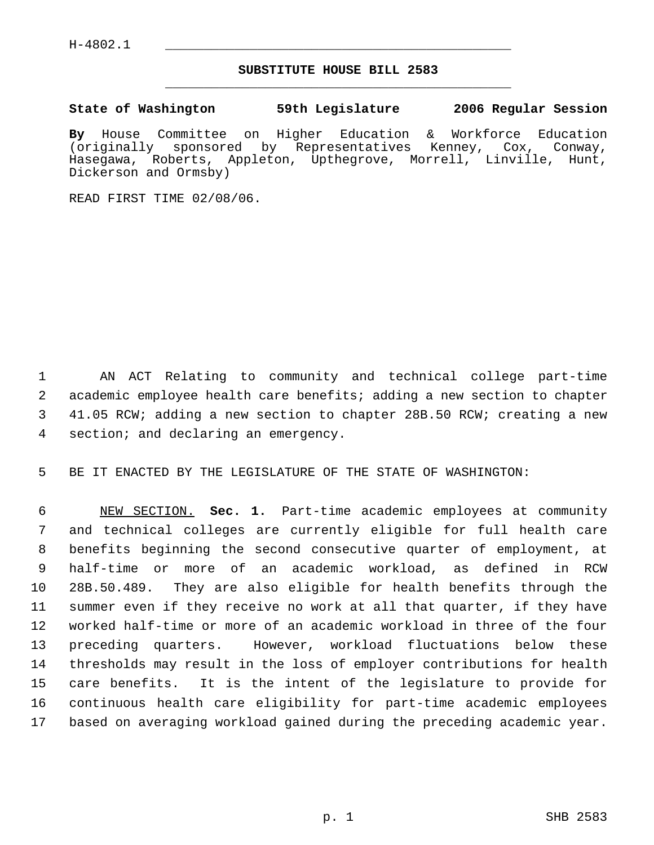## **SUBSTITUTE HOUSE BILL 2583** \_\_\_\_\_\_\_\_\_\_\_\_\_\_\_\_\_\_\_\_\_\_\_\_\_\_\_\_\_\_\_\_\_\_\_\_\_\_\_\_\_\_\_\_\_

## **State of Washington 59th Legislature 2006 Regular Session**

**By** House Committee on Higher Education & Workforce Education sponsored by Representatives Kenney, Cox, Conway, Hasegawa, Roberts, Appleton, Upthegrove, Morrell, Linville, Hunt, Dickerson and Ormsby)

READ FIRST TIME 02/08/06.

 AN ACT Relating to community and technical college part-time academic employee health care benefits; adding a new section to chapter 41.05 RCW; adding a new section to chapter 28B.50 RCW; creating a new section; and declaring an emergency.

BE IT ENACTED BY THE LEGISLATURE OF THE STATE OF WASHINGTON:

 NEW SECTION. **Sec. 1.** Part-time academic employees at community and technical colleges are currently eligible for full health care benefits beginning the second consecutive quarter of employment, at half-time or more of an academic workload, as defined in RCW 28B.50.489. They are also eligible for health benefits through the summer even if they receive no work at all that quarter, if they have worked half-time or more of an academic workload in three of the four preceding quarters. However, workload fluctuations below these thresholds may result in the loss of employer contributions for health care benefits. It is the intent of the legislature to provide for continuous health care eligibility for part-time academic employees based on averaging workload gained during the preceding academic year.